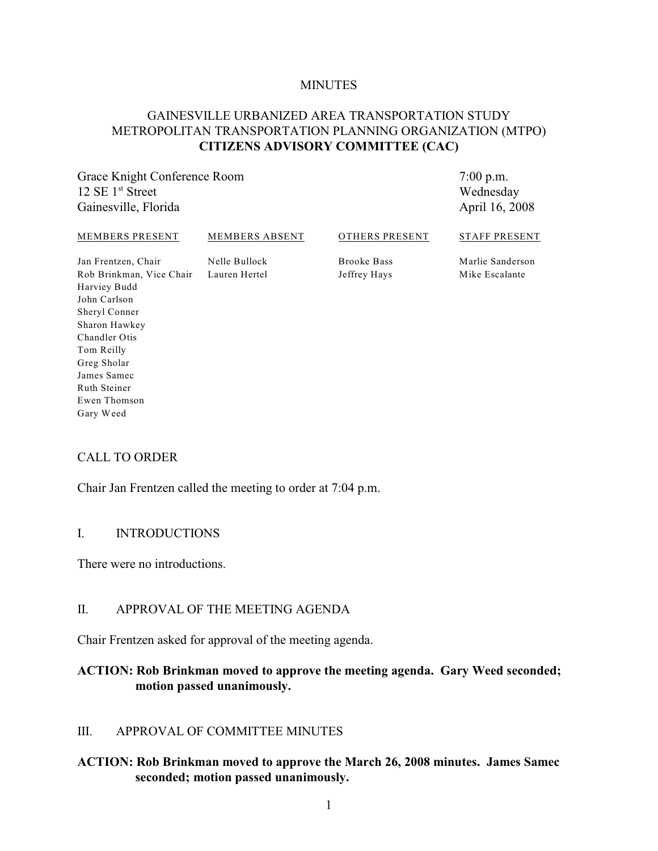#### **MINUTES**

## GAINESVILLE URBANIZED AREA TRANSPORTATION STUDY METROPOLITAN TRANSPORTATION PLANNING ORGANIZATION (MTPO) **CITIZENS ADVISORY COMMITTEE (CAC)**

Grace Knight Conference Room  $12 \text{ SE } 1^{\text{st}}$  Street Gainesville, Florida

7:00 p.m. Wednesday April 16, 2008

| MEMBERS PRESENT          | MEMBERS ABSENT | OTHERS PRESENT     | <b>STAFF PRESENT</b> |
|--------------------------|----------------|--------------------|----------------------|
| Jan Frentzen, Chair      | Nelle Bullock  | <b>Brooke Bass</b> | Marlie Sanderson     |
| Rob Brinkman, Vice Chair | Lauren Hertel  | Jeffrey Hays       | Mike Escalante       |
| Harviey Budd             |                |                    |                      |
| John Carlson             |                |                    |                      |
| <b>Shervl Conner</b>     |                |                    |                      |

### CALL TO ORDER

Sharon Hawkey Chandler Otis Tom Reilly Greg Sholar James Samec Ruth Steiner Ewen Thomson Gary Weed

Chair Jan Frentzen called the meeting to order at 7:04 p.m.

#### I. INTRODUCTIONS

There were no introductions.

### II. APPROVAL OF THE MEETING AGENDA

Chair Frentzen asked for approval of the meeting agenda.

### **ACTION: Rob Brinkman moved to approve the meeting agenda. Gary Weed seconded; motion passed unanimously.**

### III. APPROVAL OF COMMITTEE MINUTES

### **ACTION: Rob Brinkman moved to approve the March 26, 2008 minutes. James Samec seconded; motion passed unanimously.**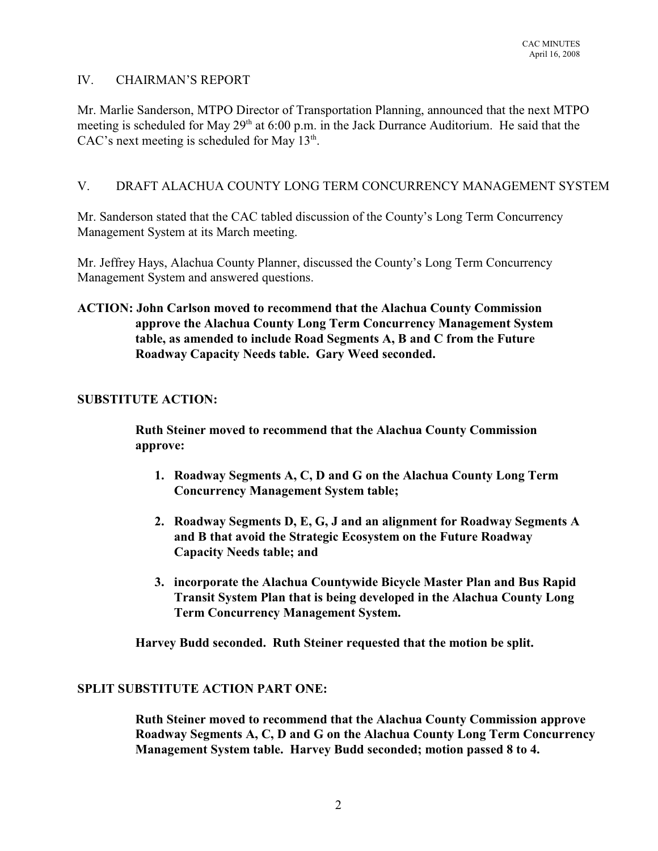## IV. CHAIRMAN'S REPORT

Mr. Marlie Sanderson, MTPO Director of Transportation Planning, announced that the next MTPO meeting is scheduled for May  $29<sup>th</sup>$  at 6:00 p.m. in the Jack Durrance Auditorium. He said that the CAC's next meeting is scheduled for May  $13<sup>th</sup>$ .

## V. DRAFT ALACHUA COUNTY LONG TERM CONCURRENCY MANAGEMENT SYSTEM

Mr. Sanderson stated that the CAC tabled discussion of the County's Long Term Concurrency Management System at its March meeting.

Mr. Jeffrey Hays, Alachua County Planner, discussed the County's Long Term Concurrency Management System and answered questions.

**ACTION: John Carlson moved to recommend that the Alachua County Commission approve the Alachua County Long Term Concurrency Management System table, as amended to include Road Segments A, B and C from the Future Roadway Capacity Needs table. Gary Weed seconded.**

## **SUBSTITUTE ACTION:**

**Ruth Steiner moved to recommend that the Alachua County Commission approve:**

- **1. Roadway Segments A, C, D and G on the Alachua County Long Term Concurrency Management System table;**
- **2. Roadway Segments D, E, G, J and an alignment for Roadway Segments A and B that avoid the Strategic Ecosystem on the Future Roadway Capacity Needs table; and**
- **3. incorporate the Alachua Countywide Bicycle Master Plan and Bus Rapid Transit System Plan that is being developed in the Alachua County Long Term Concurrency Management System.**

**Harvey Budd seconded. Ruth Steiner requested that the motion be split.**

## **SPLIT SUBSTITUTE ACTION PART ONE:**

**Ruth Steiner moved to recommend that the Alachua County Commission approve Roadway Segments A, C, D and G on the Alachua County Long Term Concurrency Management System table. Harvey Budd seconded; motion passed 8 to 4.**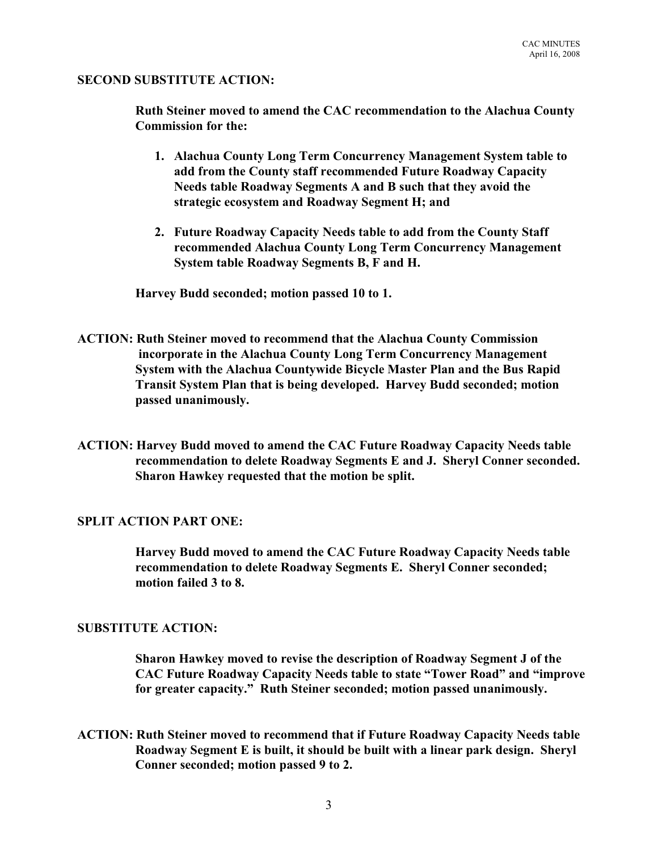#### **SECOND SUBSTITUTE ACTION:**

**Ruth Steiner moved to amend the CAC recommendation to the Alachua County Commission for the:**

- **1. Alachua County Long Term Concurrency Management System table to add from the County staff recommended Future Roadway Capacity Needs table Roadway Segments A and B such that they avoid the strategic ecosystem and Roadway Segment H; and**
- **2. Future Roadway Capacity Needs table to add from the County Staff recommended Alachua County Long Term Concurrency Management System table Roadway Segments B, F and H.**

**Harvey Budd seconded; motion passed 10 to 1.**

- **ACTION: Ruth Steiner moved to recommend that the Alachua County Commission incorporate in the Alachua County Long Term Concurrency Management System with the Alachua Countywide Bicycle Master Plan and the Bus Rapid Transit System Plan that is being developed. Harvey Budd seconded; motion passed unanimously.**
- **ACTION: Harvey Budd moved to amend the CAC Future Roadway Capacity Needs table recommendation to delete Roadway Segments E and J. Sheryl Conner seconded. Sharon Hawkey requested that the motion be split.**

### **SPLIT ACTION PART ONE:**

**Harvey Budd moved to amend the CAC Future Roadway Capacity Needs table recommendation to delete Roadway Segments E. Sheryl Conner seconded; motion failed 3 to 8.**

#### **SUBSTITUTE ACTION:**

**Sharon Hawkey moved to revise the description of Roadway Segment J of the CAC Future Roadway Capacity Needs table to state "Tower Road" and "improve for greater capacity." Ruth Steiner seconded; motion passed unanimously.**

**ACTION: Ruth Steiner moved to recommend that if Future Roadway Capacity Needs table Roadway Segment E is built, it should be built with a linear park design. Sheryl Conner seconded; motion passed 9 to 2.**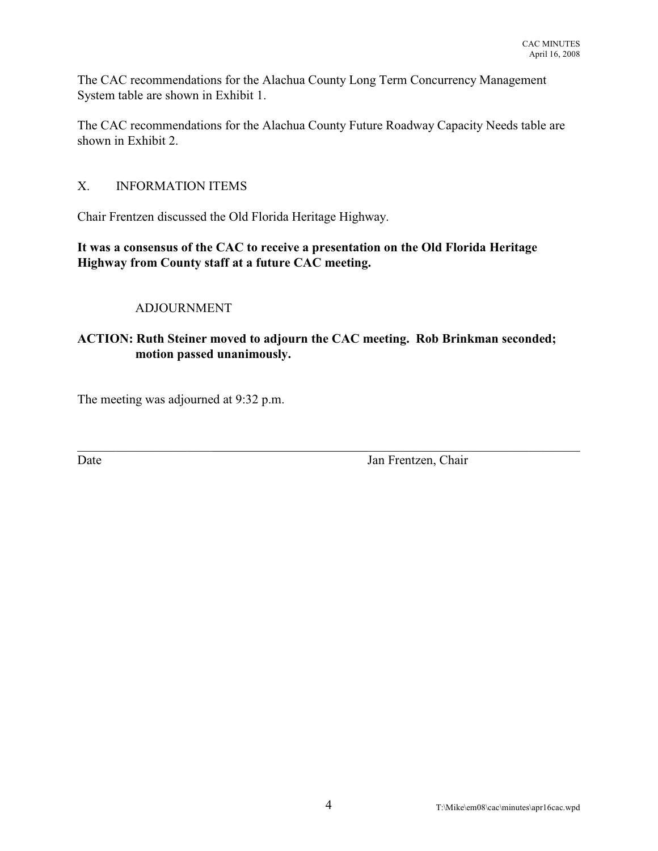The CAC recommendations for the Alachua County Long Term Concurrency Management System table are shown in Exhibit 1.

The CAC recommendations for the Alachua County Future Roadway Capacity Needs table are shown in Exhibit 2.

## X. INFORMATION ITEMS

Chair Frentzen discussed the Old Florida Heritage Highway.

**It was a consensus of the CAC to receive a presentation on the Old Florida Heritage Highway from County staff at a future CAC meeting.**

### ADJOURNMENT

## **ACTION: Ruth Steiner moved to adjourn the CAC meeting. Rob Brinkman seconded; motion passed unanimously.**

 $\_$  , and the set of the set of the set of the set of the set of the set of the set of the set of the set of the set of the set of the set of the set of the set of the set of the set of the set of the set of the set of th

The meeting was adjourned at 9:32 p.m.

Date Jan Frentzen, Chair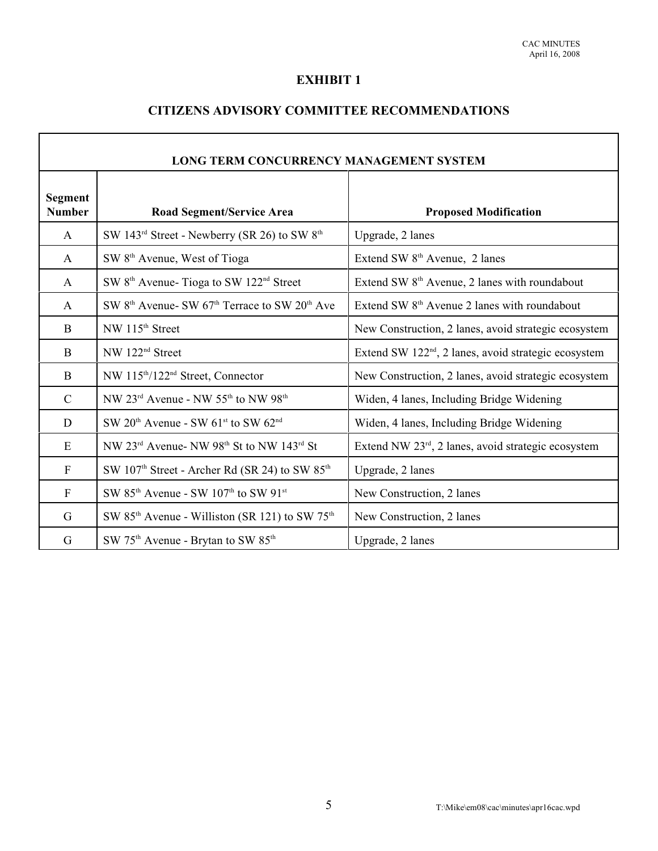# **EXHIBIT 1**

# **CITIZENS ADVISORY COMMITTEE RECOMMENDATIONS**

| <b>LONG TERM CONCURRENCY MANAGEMENT SYSTEM</b> |                                                                                   |                                                                  |  |  |
|------------------------------------------------|-----------------------------------------------------------------------------------|------------------------------------------------------------------|--|--|
| <b>Segment</b><br><b>Number</b>                | Road Segment/Service Area                                                         | <b>Proposed Modification</b>                                     |  |  |
| A                                              | SW 143 <sup>rd</sup> Street - Newberry (SR 26) to SW 8 <sup>th</sup>              | Upgrade, 2 lanes                                                 |  |  |
| A                                              | SW 8 <sup>th</sup> Avenue, West of Tioga                                          | Extend SW 8 <sup>th</sup> Avenue, 2 lanes                        |  |  |
| A                                              | SW 8 <sup>th</sup> Avenue- Tioga to SW 122 <sup>nd</sup> Street                   | Extend SW 8 <sup>th</sup> Avenue, 2 lanes with roundabout        |  |  |
| A                                              | SW 8 <sup>th</sup> Avenue- SW 67 <sup>th</sup> Terrace to SW 20 <sup>th</sup> Ave | Extend SW 8 <sup>th</sup> Avenue 2 lanes with roundabout         |  |  |
| B                                              | NW 115 <sup>th</sup> Street                                                       | New Construction, 2 lanes, avoid strategic ecosystem             |  |  |
| B                                              | NW 122 <sup>nd</sup> Street                                                       | Extend SW 122 <sup>nd</sup> , 2 lanes, avoid strategic ecosystem |  |  |
| B                                              | NW 115 <sup>th</sup> /122 <sup>nd</sup> Street, Connector                         | New Construction, 2 lanes, avoid strategic ecosystem             |  |  |
| $\mathcal{C}$                                  | NW 23 <sup>rd</sup> Avenue - NW 55 <sup>th</sup> to NW 98 <sup>th</sup>           | Widen, 4 lanes, Including Bridge Widening                        |  |  |
| D                                              | SW $20th$ Avenue - SW $61st$ to SW $62nd$                                         | Widen, 4 lanes, Including Bridge Widening                        |  |  |
| E                                              | NW 23rd Avenue- NW 98th St to NW 143rd St                                         | Extend NW 23 <sup>rd</sup> , 2 lanes, avoid strategic ecosystem  |  |  |
| $\mathbf F$                                    | SW 107 <sup>th</sup> Street - Archer Rd (SR 24) to SW 85 <sup>th</sup>            | Upgrade, 2 lanes                                                 |  |  |
| $\mathbf{F}$                                   | SW 85 <sup>th</sup> Avenue - SW 107 <sup>th</sup> to SW 91 <sup>st</sup>          | New Construction, 2 lanes                                        |  |  |
| G                                              | SW 85 <sup>th</sup> Avenue - Williston (SR 121) to SW 75 <sup>th</sup>            | New Construction, 2 lanes                                        |  |  |
| G                                              | SW 75 <sup>th</sup> Avenue - Brytan to SW 85 <sup>th</sup>                        | Upgrade, 2 lanes                                                 |  |  |